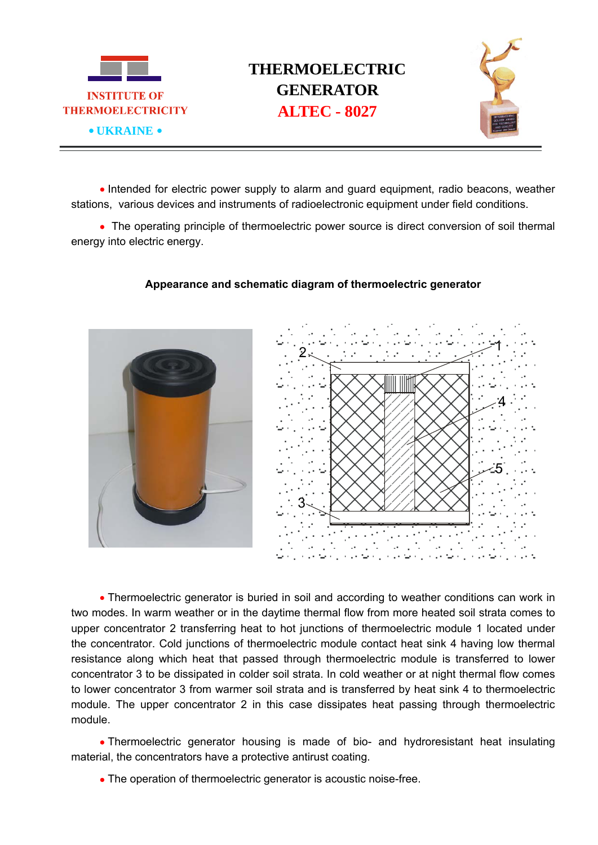

## **THERMOELECTRIC GENERATOR**



• Intended for electric power supply to alarm and guard equipment, radio beacons, weather stations, various devices and instruments of radioelectronic equipment under field conditions.

• The operating principle of thermoelectric power source is direct conversion of soil thermal energy into electric energy.



## **Appearance and schematic diagram of thermoelectric generator**

• Thermoelectric generator is buried in soil and according to weather conditions can work in two modes. In warm weather or in the daytime thermal flow from more heated soil strata comes to upper concentrator 2 transferring heat to hot junctions of thermoelectric module 1 located under the concentrator. Cold junctions of thermoelectric module contact heat sink 4 having low thermal resistance along which heat that passed through thermoelectric module is transferred to lower concentrator 3 to be dissipated in colder soil strata. In cold weather or at night thermal flow comes to lower concentrator 3 from warmer soil strata and is transferred by heat sink 4 to thermoelectric module. The upper concentrator 2 in this case dissipates heat passing through thermoelectric module.

• Thermoelectric generator housing is made of bio- and hydroresistant heat insulating material, the concentrators have a protective antirust coating.

• The operation of thermoelectric generator is acoustic noise-free.